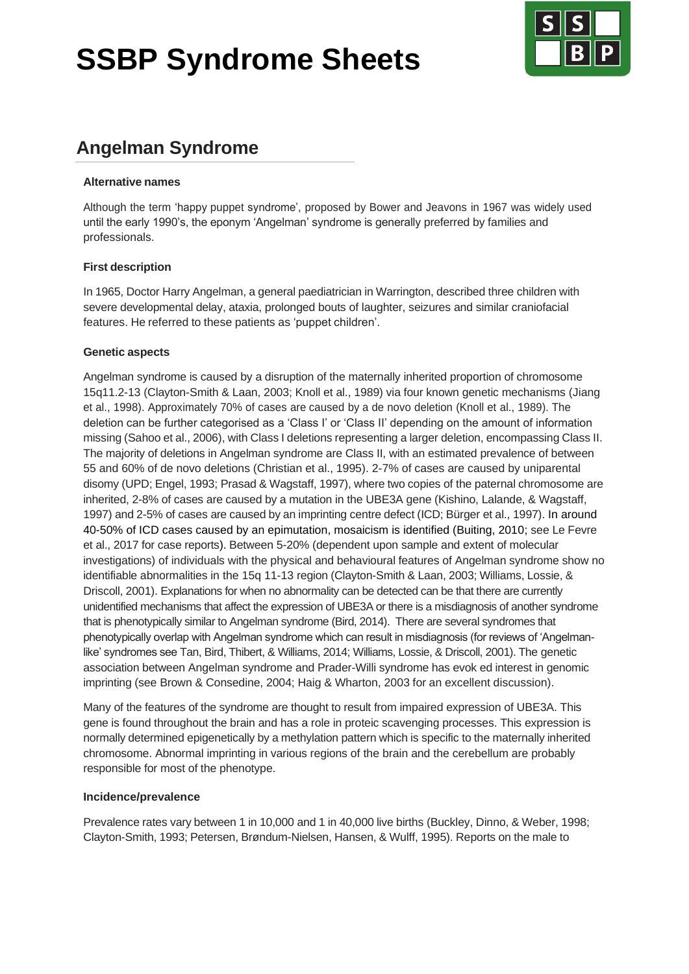# **SSBP Syndrome Sheets**



## **Angelman Syndrome**

#### **Alternative names**

Although the term 'happy puppet syndrome', proposed by Bower and Jeavons in 1967 was widely used until the early 1990's, the eponym 'Angelman' syndrome is generally preferred by families and professionals.

#### **First description**

In 1965, Doctor Harry Angelman, a general paediatrician in Warrington, described three children with severe developmental delay, ataxia, prolonged bouts of laughter, seizures and similar craniofacial features. He referred to these patients as 'puppet children'.

#### **Genetic aspects**

Angelman syndrome is caused by a disruption of the maternally inherited proportion of chromosome 15q11.2-13 (Clayton-Smith & Laan, 2003; Knoll et al., 1989) via four known genetic mechanisms (Jiang et al., 1998). Approximately 70% of cases are caused by a de novo deletion (Knoll et al., 1989). The deletion can be further categorised as a 'Class I' or 'Class II' depending on the amount of information missing (Sahoo et al., 2006), with Class I deletions representing a larger deletion, encompassing Class II. The majority of deletions in Angelman syndrome are Class II, with an estimated prevalence of between 55 and 60% of de novo deletions (Christian et al., 1995). 2-7% of cases are caused by uniparental disomy (UPD; Engel, 1993; Prasad & Wagstaff, 1997), where two copies of the paternal chromosome are inherited, 2-8% of cases are caused by a mutation in the UBE3A gene (Kishino, Lalande, & Wagstaff, 1997) and 2-5% of cases are caused by an imprinting centre defect (ICD; Bürger et al., 1997). In around 40-50% of ICD cases caused by an epimutation, mosaicism is identified (Buiting, 2010; see Le Fevre et al., 2017 for case reports). Between 5-20% (dependent upon sample and extent of molecular investigations) of individuals with the physical and behavioural features of Angelman syndrome show no identifiable abnormalities in the 15q 11-13 region (Clayton-Smith & Laan, 2003; Williams, Lossie, & Driscoll, 2001). Explanations for when no abnormality can be detected can be that there are currently unidentified mechanisms that affect the expression of UBE3A or there is a misdiagnosis of another syndrome that is phenotypically similar to Angelman syndrome (Bird, 2014). There are several syndromes that phenotypically overlap with Angelman syndrome which can result in misdiagnosis (for reviews of 'Angelmanlike' syndromes see Tan, Bird, Thibert, & Williams, 2014; Williams, Lossie, & Driscoll, 2001). The genetic association between Angelman syndrome and Prader-Willi syndrome has evok ed interest in genomic imprinting (see Brown & Consedine, 2004; Haig & Wharton, 2003 for an excellent discussion).

Many of the features of the syndrome are thought to result from impaired expression of UBE3A. This gene is found throughout the brain and has a role in proteic scavenging processes. This expression is normally determined epigenetically by a methylation pattern which is specific to the maternally inherited chromosome. Abnormal imprinting in various regions of the brain and the cerebellum are probably responsible for most of the phenotype.

#### **Incidence/prevalence**

Prevalence rates vary between 1 in 10,000 and 1 in 40,000 live births (Buckley, Dinno, & Weber, 1998; Clayton-Smith, 1993; Petersen, Brøndum-Nielsen, Hansen, & Wulff, 1995). Reports on the male to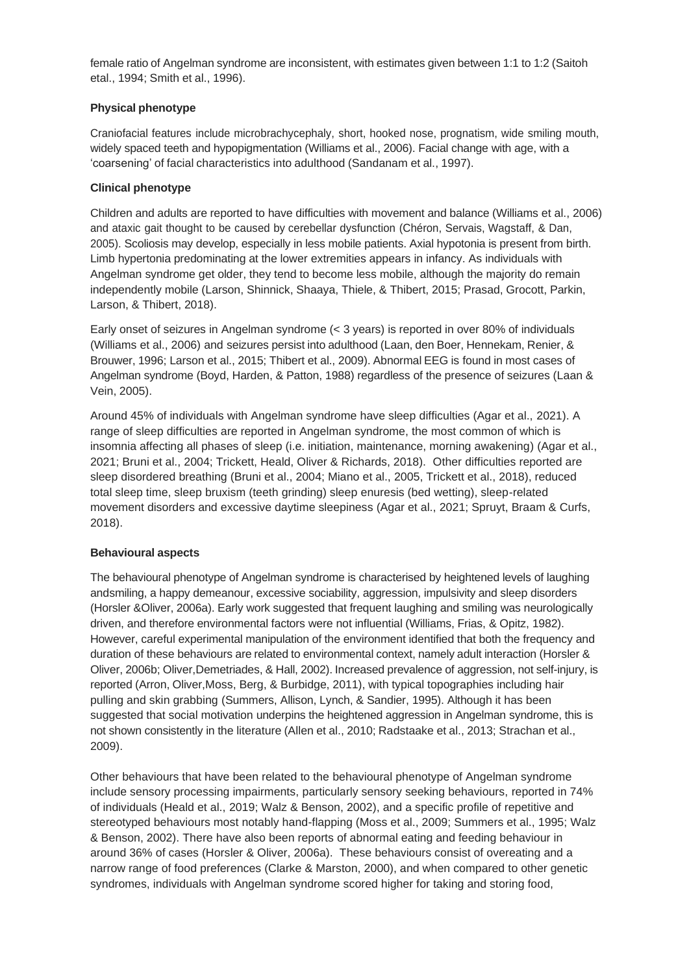female ratio of Angelman syndrome are inconsistent, with estimates given between 1:1 to 1:2 (Saitoh etal., 1994; Smith et al., 1996).

#### **Physical phenotype**

Craniofacial features include microbrachycephaly, short, hooked nose, prognatism, wide smiling mouth, widely spaced teeth and hypopigmentation (Williams et al., 2006). Facial change with age, with a 'coarsening' of facial characteristics into adulthood (Sandanam et al., 1997).

#### **Clinical phenotype**

Children and adults are reported to have difficulties with movement and balance (Williams et al., 2006) and ataxic gait thought to be caused by cerebellar dysfunction (Chéron, Servais, Wagstaff, & Dan, 2005). Scoliosis may develop, especially in less mobile patients. Axial hypotonia is present from birth. Limb hypertonia predominating at the lower extremities appears in infancy. As individuals with Angelman syndrome get older, they tend to become less mobile, although the majority do remain independently mobile (Larson, Shinnick, Shaaya, Thiele, & Thibert, 2015; Prasad, Grocott, Parkin, Larson, & Thibert, 2018).

Early onset of seizures in Angelman syndrome (< 3 years) is reported in over 80% of individuals (Williams et al., 2006) and seizures persist into adulthood (Laan, den Boer, Hennekam, Renier, & Brouwer, 1996; Larson et al., 2015; Thibert et al., 2009). Abnormal EEG is found in most cases of Angelman syndrome (Boyd, Harden, & Patton, 1988) regardless of the presence of seizures (Laan & Vein, 2005).

Around 45% of individuals with Angelman syndrome have sleep difficulties (Agar et al., 2021). A range of sleep difficulties are reported in Angelman syndrome, the most common of which is insomnia affecting all phases of sleep (i.e. initiation, maintenance, morning awakening) (Agar et al., 2021; Bruni et al., 2004; Trickett, Heald, Oliver & Richards, 2018). Other difficulties reported are sleep disordered breathing (Bruni et al., 2004; Miano et al., 2005, Trickett et al., 2018), reduced total sleep time, sleep bruxism (teeth grinding) sleep enuresis (bed wetting), sleep-related movement disorders and excessive daytime sleepiness (Agar et al., 2021; Spruyt, Braam & Curfs, 2018).

#### **Behavioural aspects**

The behavioural phenotype of Angelman syndrome is characterised by heightened levels of laughing andsmiling, a happy demeanour, excessive sociability, aggression, impulsivity and sleep disorders (Horsler &Oliver, 2006a). Early work suggested that frequent laughing and smiling was neurologically driven, and therefore environmental factors were not influential (Williams, Frias, & Opitz, 1982). However, careful experimental manipulation of the environment identified that both the frequency and duration of these behaviours are related to environmental context, namely adult interaction (Horsler & Oliver, 2006b; Oliver,Demetriades, & Hall, 2002). Increased prevalence of aggression, not self-injury, is reported (Arron, Oliver,Moss, Berg, & Burbidge, 2011), with typical topographies including hair pulling and skin grabbing (Summers, Allison, Lynch, & Sandier, 1995). Although it has been suggested that social motivation underpins the heightened aggression in Angelman syndrome, this is not shown consistently in the literature (Allen et al., 2010; Radstaake et al., 2013; Strachan et al., 2009).

Other behaviours that have been related to the behavioural phenotype of Angelman syndrome include sensory processing impairments, particularly sensory seeking behaviours, reported in 74% of individuals (Heald et al., 2019; Walz & Benson, 2002), and a specific profile of repetitive and stereotyped behaviours most notably hand-flapping (Moss et al., 2009; Summers et al., 1995; Walz & Benson, 2002). There have also been reports of abnormal eating and feeding behaviour in around 36% of cases (Horsler & Oliver, 2006a). These behaviours consist of overeating and a narrow range of food preferences (Clarke & Marston, 2000), and when compared to other genetic syndromes, individuals with Angelman syndrome scored higher for taking and storing food,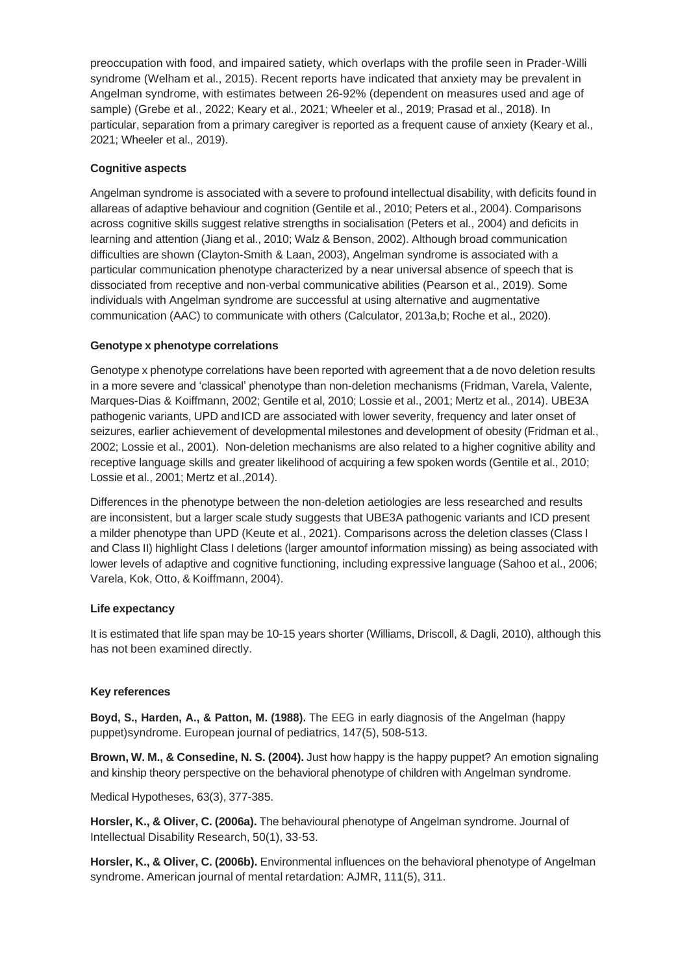preoccupation with food, and impaired satiety, which overlaps with the profile seen in Prader-Willi syndrome (Welham et al., 2015). Recent reports have indicated that anxiety may be prevalent in Angelman syndrome, with estimates between 26-92% (dependent on measures used and age of sample) (Grebe et al., 2022; Keary et al., 2021; Wheeler et al., 2019; Prasad et al., 2018). In particular, separation from a primary caregiver is reported as a frequent cause of anxiety (Keary et al., 2021; Wheeler et al., 2019).

#### **Cognitive aspects**

Angelman syndrome is associated with a severe to profound intellectual disability, with deficits found in allareas of adaptive behaviour and cognition (Gentile et al., 2010; Peters et al., 2004). Comparisons across cognitive skills suggest relative strengths in socialisation (Peters et al., 2004) and deficits in learning and attention (Jiang et al., 2010; Walz & Benson, 2002). Although broad communication difficulties are shown (Clayton-Smith & Laan, 2003), Angelman syndrome is associated with a particular communication phenotype characterized by a near universal absence of speech that is dissociated from receptive and non-verbal communicative abilities (Pearson et al., 2019). Some individuals with Angelman syndrome are successful at using alternative and augmentative communication (AAC) to communicate with others (Calculator, 2013a,b; Roche et al., 2020).

#### **Genotype x phenotype correlations**

Genotype x phenotype correlations have been reported with agreement that a de novo deletion results in a more severe and 'classical' phenotype than non-deletion mechanisms (Fridman, Varela, Valente, Marques-Dias & Koiffmann, 2002; Gentile et al, 2010; Lossie et al., 2001; Mertz et al., 2014). UBE3A pathogenic variants, UPD and ICD are associated with lower severity, frequency and later onset of seizures, earlier achievement of developmental milestones and development of obesity (Fridman et al., 2002; Lossie et al., 2001). Non-deletion mechanisms are also related to a higher cognitive ability and receptive language skills and greater likelihood of acquiring a few spoken words (Gentile et al., 2010; Lossie et al., 2001; Mertz et al.,2014).

Differences in the phenotype between the non-deletion aetiologies are less researched and results are inconsistent, but a larger scale study suggests that UBE3A pathogenic variants and ICD present a milder phenotype than UPD (Keute et al., 2021). Comparisons across the deletion classes (Class I and Class II) highlight Class I deletions (larger amountof information missing) as being associated with lower levels of adaptive and cognitive functioning, including expressive language (Sahoo et al., 2006; Varela, Kok, Otto, & Koiffmann, 2004).

#### **Life expectancy**

It is estimated that life span may be 10-15 years shorter (Williams, Driscoll, & Dagli, 2010), although this has not been examined directly.

#### **Key references**

**Boyd, S., Harden, A., & Patton, M. (1988).** The EEG in early diagnosis of the Angelman (happy puppet)syndrome. European journal of pediatrics, 147(5), 508-513.

**Brown, W. M., & Consedine, N. S. (2004).** Just how happy is the happy puppet? An emotion signaling and kinship theory perspective on the behavioral phenotype of children with Angelman syndrome.

Medical Hypotheses, 63(3), 377-385.

**Horsler, K., & Oliver, C. (2006a).** The behavioural phenotype of Angelman syndrome. Journal of Intellectual Disability Research, 50(1), 33-53.

**Horsler, K., & Oliver, C. (2006b).** Environmental influences on the behavioral phenotype of Angelman syndrome. American journal of mental retardation: AJMR, 111(5), 311.